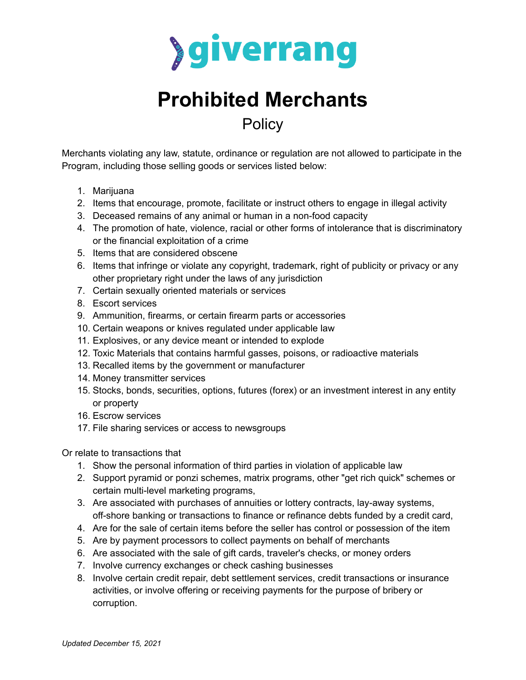

## **Prohibited Merchants Policy**

Merchants violating any law, statute, ordinance or regulation are not allowed to participate in the Program, including those selling goods or services listed below:

- 1. Marijuana
- 2. Items that encourage, promote, facilitate or instruct others to engage in illegal activity
- 3. Deceased remains of any animal or human in a non-food capacity
- 4. The promotion of hate, violence, racial or other forms of intolerance that is discriminatory or the financial exploitation of a crime
- 5. Items that are considered obscene
- 6. Items that infringe or violate any copyright, trademark, right of publicity or privacy or any other proprietary right under the laws of any jurisdiction
- 7. Certain sexually oriented materials or services
- 8. Escort services
- 9. Ammunition, firearms, or certain firearm parts or accessories
- 10. Certain weapons or knives regulated under applicable law
- 11. Explosives, or any device meant or intended to explode
- 12. Toxic Materials that contains harmful gasses, poisons, or radioactive materials
- 13. Recalled items by the government or manufacturer
- 14. Money transmitter services
- 15. Stocks, bonds, securities, options, futures (forex) or an investment interest in any entity or property
- 16. Escrow services
- 17. File sharing services or access to newsgroups

Or relate to transactions that

- 1. Show the personal information of third parties in violation of applicable law
- 2. Support pyramid or ponzi schemes, matrix programs, other "get rich quick" schemes or certain multi-level marketing programs,
- 3. Are associated with purchases of annuities or lottery contracts, lay-away systems, off-shore banking or transactions to finance or refinance debts funded by a credit card,
- 4. Are for the sale of certain items before the seller has control or possession of the item
- 5. Are by payment processors to collect payments on behalf of merchants
- 6. Are associated with the sale of gift cards, traveler's checks, or money orders
- 7. Involve currency exchanges or check cashing businesses
- 8. Involve certain credit repair, debt settlement services, credit transactions or insurance activities, or involve offering or receiving payments for the purpose of bribery or corruption.